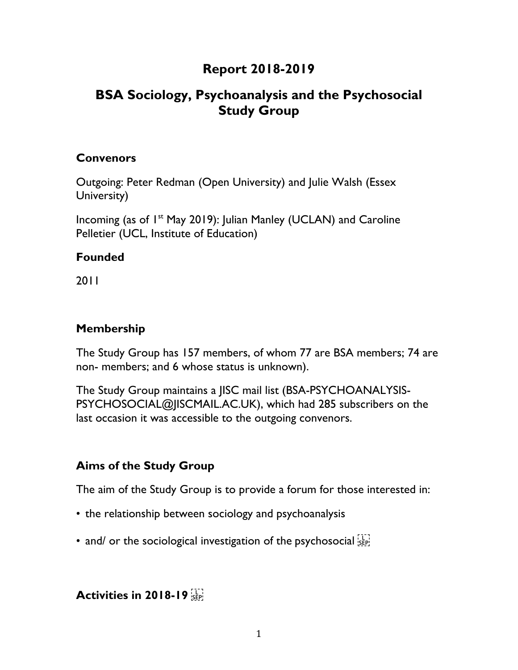## **Report 2018-2019**

# **BSA Sociology, Psychoanalysis and the Psychosocial Study Group**

#### **Convenors**

Outgoing: Peter Redman (Open University) and Julie Walsh (Essex University)

Incoming (as of 1<sup>st</sup> May 2019): Julian Manley (UCLAN) and Caroline Pelletier (UCL, Institute of Education)

#### **Founded**

2011

#### **Membership**

The Study Group has 157 members, of whom 77 are BSA members; 74 are non- members; and 6 whose status is unknown).

The Study Group maintains a JISC mail list (BSA-PSYCHOANALYSIS-PSYCHOSOCIAL@JISCMAIL.AC.UK), which had 285 subscribers on the last occasion it was accessible to the outgoing convenors.

### **Aims of the Study Group**

The aim of the Study Group is to provide a forum for those interested in:

- the relationship between sociology and psychoanalysis
- and/ or the sociological investigation of the psychosocial sep-

### **Activities in 2018-19**